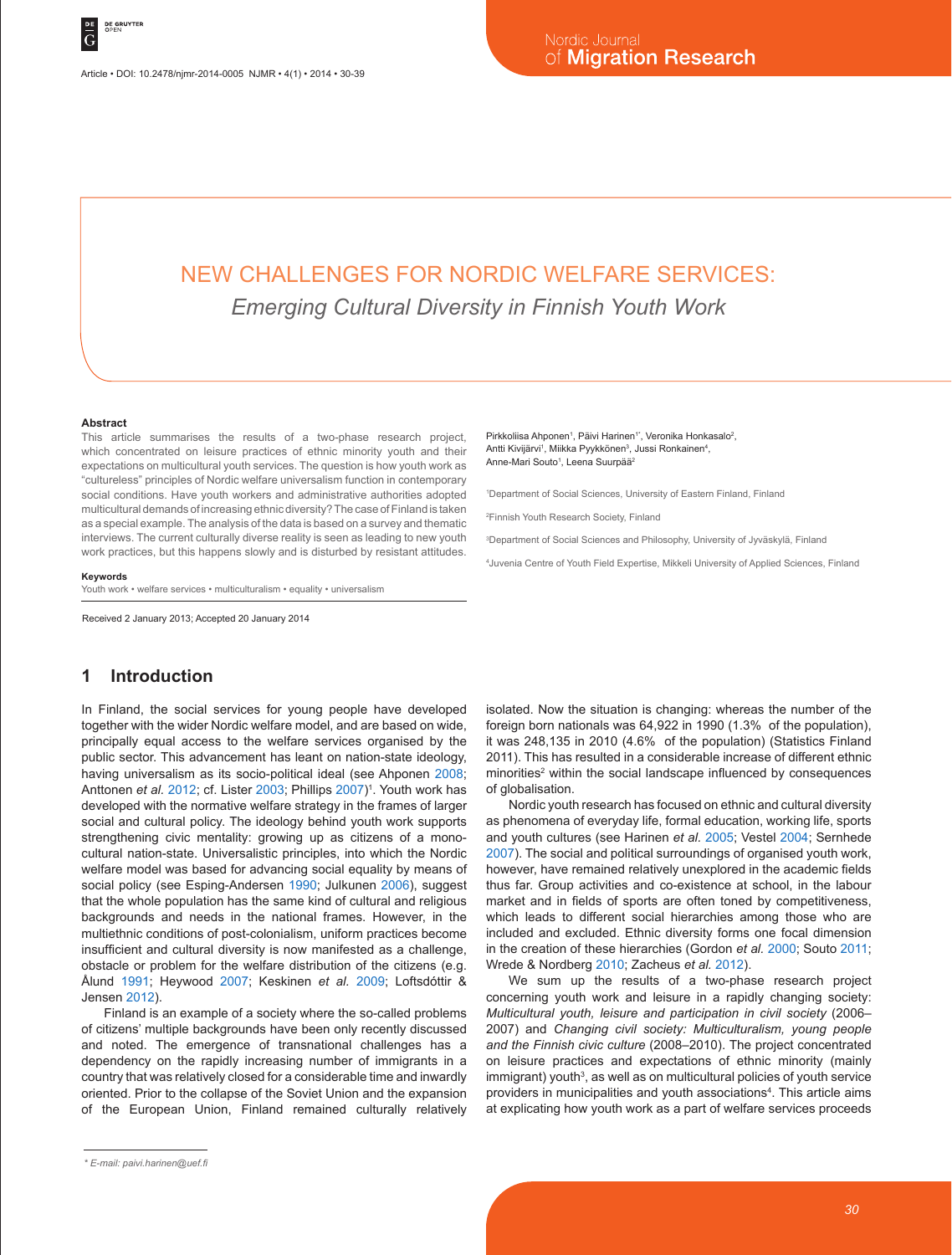# NEW CHALLENGES FOR NORDIC WELFARE SERVICES: *Emerging Cultural Diversity in Finnish Youth Work*

#### **Abstract**

This article summarises the results of a two-phase research project, which concentrated on leisure practices of ethnic minority youth and their expectations on multicultural youth services. The question is how youth work as "cultureless" principles of Nordic welfare universalism function in contemporary social conditions. Have youth workers and administrative authorities adopted multicultural demands of increasing ethnic diversity? The case of Finland is taken as a special example. The analysis of the data is based on a survey and thematic interviews. The current culturally diverse reality is seen as leading to new youth work practices, but this happens slowly and is disturbed by resistant attitudes.

#### **Keywords**

Youth work • welfare services • multiculturalism • equality • universalism

Received 2 January 2013; Accepted 20 January 2014

# **1 Introduction**

In Finland, the social services for young people have developed together with the wider Nordic welfare model, and are based on wide, principally equal access to the welfare services organised by the public sector. This advancement has leant on nation-state ideology, having universalism as its socio-political ideal (see Ahponen 2008; Anttonen *et al. 2*012; cf. Lister 2003; Phillips 2007)<sup>1</sup>. Youth work has developed with the normative welfare strategy in the frames of larger social and cultural policy. The ideology behind youth work supports strengthening civic mentality: growing up as citizens of a monocultural nation-state. Universalistic principles, into which the Nordic welfare model was based for advancing social equality by means of social policy (see Esping-Andersen 1990; Julkunen 2006), suggest that the whole population has the same kind of cultural and religious backgrounds and needs in the national frames. However, in the multiethnic conditions of post-colonialism, uniform practices become insufficient and cultural diversity is now manifested as a challenge, obstacle or problem for the welfare distribution of the citizens (e.g. Ålund 1991; Heywood 2007; Keskinen *et al.* 2009; Loftsdóttir & Jensen 2012).

Finland is an example of a society where the so-called problems of citizens' multiple backgrounds have been only recently discussed and noted. The emergence of transnational challenges has a dependency on the rapidly increasing number of immigrants in a country that was relatively closed for a considerable time and inwardly oriented. Prior to the collapse of the Soviet Union and the expansion of the European Union, Finland remained culturally relatively Pirkkoliisa Ahponen<sup>1</sup>, Päivi Harinen<sup>1</sup><sup>\*</sup>, Veronika Honkasalo<sup>2</sup>, Antti Kivijärvi<sup>1</sup>, Miikka Pyykkönen<sup>3</sup>, Jussi Ronkainen<sup>4</sup>, Anne-Mari Souto<sup>1</sup>, Leena Suurpää<sup>2</sup>

1 Department of Social Sciences, University of Eastern Finland, Finland

2 Finnish Youth Research Society, Finland

3 Department of Social Sciences and Philosophy, University of Jyväskylä, Finland

4 Juvenia Centre of Youth Field Expertise, Mikkeli University of Applied Sciences, Finland

isolated. Now the situation is changing: whereas the number of the foreign born nationals was 64,922 in 1990 (1.3% of the population), it was 248,135 in 2010 (4.6% of the population) (Statistics Finland 2011). This has resulted in a considerable increase of different ethnic minorities<sup>2</sup> within the social landscape influenced by consequences of globalisation.

Nordic youth research has focused on ethnic and cultural diversity as phenomena of everyday life, formal education, working life, sports and youth cultures (see Harinen *et al.* 2005; Vestel 2004; Sernhede 2007). The social and political surroundings of organised youth work, however, have remained relatively unexplored in the academic fields thus far. Group activities and co-existence at school, in the labour market and in fields of sports are often toned by competitiveness, which leads to different social hierarchies among those who are included and excluded. Ethnic diversity forms one focal dimension in the creation of these hierarchies (Gordon *et al.* 2000; Souto 2011; Wrede & Nordberg 2010; Zacheus *et al.* 2012).

We sum up the results of a two-phase research project concerning youth work and leisure in a rapidly changing society: *Multicultural youth, leisure and participation in civil society* (2006– 2007) and *Changing civil society: Multiculturalism, young people and the Finnish civic culture* (2008–2010). The project concentrated on leisure practices and expectations of ethnic minority (mainly immigrant) youth<sup>3</sup>, as well as on multicultural policies of youth service providers in municipalities and youth associations<sup>4</sup>. This article aims at explicating how youth work as a part of welfare services proceeds

*<sup>\*</sup> E-mail: paivi.harinen@uef.fi*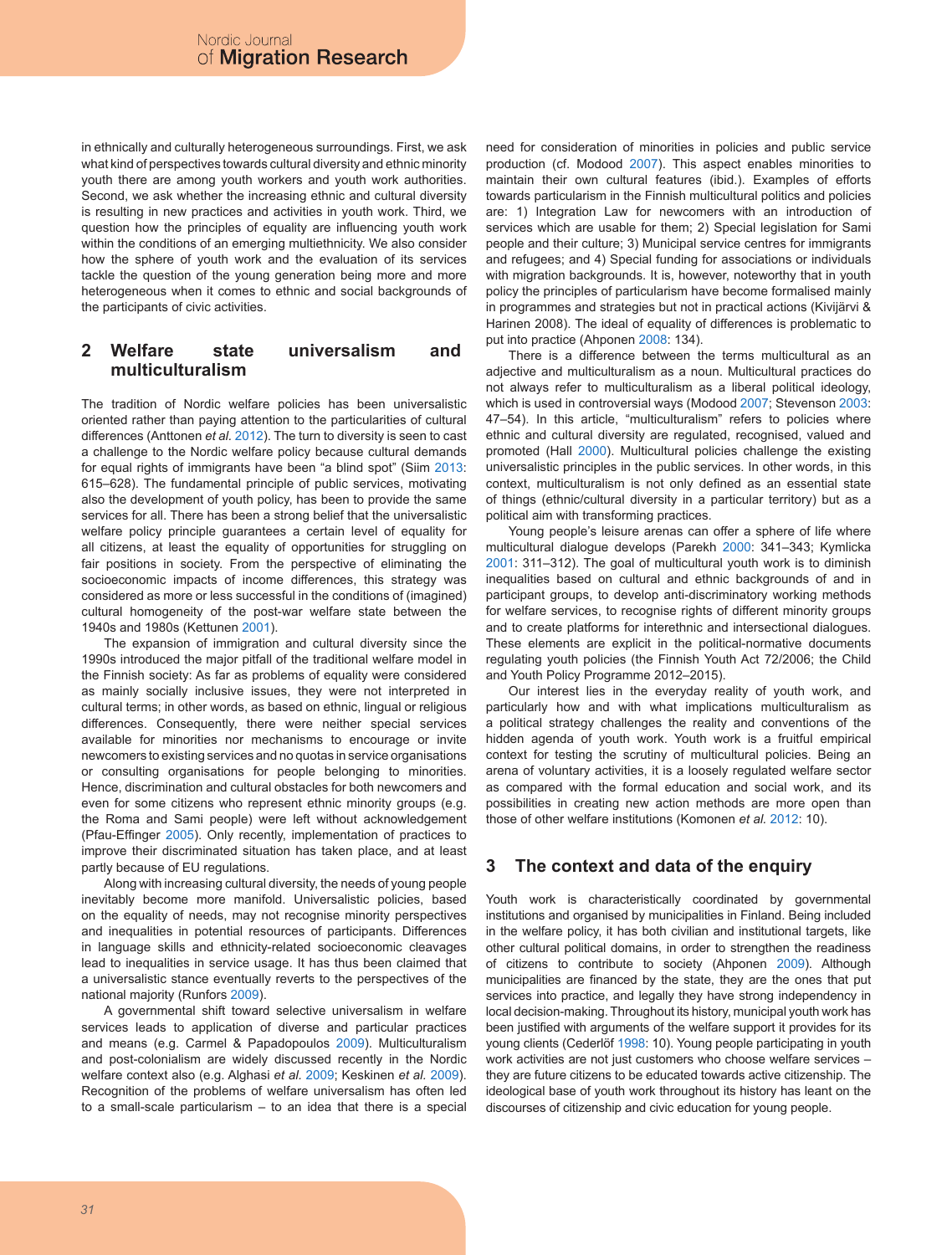in ethnically and culturally heterogeneous surroundings. First, we ask what kind of perspectives towards cultural diversity and ethnic minority youth there are among youth workers and youth work authorities. Second, we ask whether the increasing ethnic and cultural diversity is resulting in new practices and activities in youth work. Third, we question how the principles of equality are influencing youth work within the conditions of an emerging multiethnicity. We also consider how the sphere of youth work and the evaluation of its services tackle the question of the young generation being more and more heterogeneous when it comes to ethnic and social backgrounds of the participants of civic activities.

# **2 Welfare state universalism and multiculturalism**

The tradition of Nordic welfare policies has been universalistic oriented rather than paying attention to the particularities of cultural differences (Anttonen *et al.* 2012). The turn to diversity is seen to cast a challenge to the Nordic welfare policy because cultural demands for equal rights of immigrants have been "a blind spot" (Siim 2013: 615–628). The fundamental principle of public services, motivating also the development of youth policy, has been to provide the same services for all. There has been a strong belief that the universalistic welfare policy principle guarantees a certain level of equality for all citizens, at least the equality of opportunities for struggling on fair positions in society. From the perspective of eliminating the socioeconomic impacts of income differences, this strategy was considered as more or less successful in the conditions of (imagined) cultural homogeneity of the post-war welfare state between the 1940s and 1980s (Kettunen 2001).

The expansion of immigration and cultural diversity since the 1990s introduced the major pitfall of the traditional welfare model in the Finnish society: As far as problems of equality were considered as mainly socially inclusive issues, they were not interpreted in cultural terms; in other words, as based on ethnic, lingual or religious differences. Consequently, there were neither special services available for minorities nor mechanisms to encourage or invite newcomers to existing services and no quotas in service organisations or consulting organisations for people belonging to minorities. Hence, discrimination and cultural obstacles for both newcomers and even for some citizens who represent ethnic minority groups (e.g. the Roma and Sami people) were left without acknowledgement (Pfau-Effinger 2005). Only recently, implementation of practices to improve their discriminated situation has taken place, and at least partly because of EU regulations.

Along with increasing cultural diversity, the needs of young people inevitably become more manifold. Universalistic policies, based on the equality of needs, may not recognise minority perspectives and inequalities in potential resources of participants. Differences in language skills and ethnicity-related socioeconomic cleavages lead to inequalities in service usage. It has thus been claimed that a universalistic stance eventually reverts to the perspectives of the national majority (Runfors 2009).

A governmental shift toward selective universalism in welfare services leads to application of diverse and particular practices and means (e.g. Carmel & Papadopoulos 2009). Multiculturalism and post-colonialism are widely discussed recently in the Nordic welfare context also (e.g. Alghasi *et al.* 2009; Keskinen *et al.* 2009). Recognition of the problems of welfare universalism has often led to a small-scale particularism – to an idea that there is a special

need for consideration of minorities in policies and public service production (cf. Modood 2007). This aspect enables minorities to maintain their own cultural features (ibid.). Examples of efforts towards particularism in the Finnish multicultural politics and policies are: 1) Integration Law for newcomers with an introduction of services which are usable for them; 2) Special legislation for Sami people and their culture; 3) Municipal service centres for immigrants and refugees; and 4) Special funding for associations or individuals with migration backgrounds. It is, however, noteworthy that in youth policy the principles of particularism have become formalised mainly in programmes and strategies but not in practical actions (Kivijärvi & Harinen 2008). The ideal of equality of differences is problematic to put into practice (Ahponen 2008: 134).

There is a difference between the terms multicultural as an adjective and multiculturalism as a noun. Multicultural practices do not always refer to multiculturalism as a liberal political ideology, which is used in controversial ways (Modood 2007; Stevenson 2003: 47–54). In this article, "multiculturalism" refers to policies where ethnic and cultural diversity are regulated, recognised, valued and promoted (Hall 2000). Multicultural policies challenge the existing universalistic principles in the public services. In other words, in this context, multiculturalism is not only defined as an essential state of things (ethnic/cultural diversity in a particular territory) but as a political aim with transforming practices.

Young people's leisure arenas can offer a sphere of life where multicultural dialogue develops (Parekh 2000: 341–343; Kymlicka 2001: 311–312). The goal of multicultural youth work is to diminish inequalities based on cultural and ethnic backgrounds of and in participant groups, to develop anti-discriminatory working methods for welfare services, to recognise rights of different minority groups and to create platforms for interethnic and intersectional dialogues. These elements are explicit in the political-normative documents regulating youth policies (the Finnish Youth Act 72/2006; the Child and Youth Policy Programme 2012–2015).

Our interest lies in the everyday reality of youth work, and particularly how and with what implications multiculturalism as a political strategy challenges the reality and conventions of the hidden agenda of youth work. Youth work is a fruitful empirical context for testing the scrutiny of multicultural policies. Being an arena of voluntary activities, it is a loosely regulated welfare sector as compared with the formal education and social work, and its possibilities in creating new action methods are more open than those of other welfare institutions (Komonen *et al.* 2012: 10).

# **3 The context and data of the enquiry**

Youth work is characteristically coordinated by governmental institutions and organised by municipalities in Finland. Being included in the welfare policy, it has both civilian and institutional targets, like other cultural political domains, in order to strengthen the readiness of citizens to contribute to society (Ahponen 2009). Although municipalities are financed by the state, they are the ones that put services into practice, and legally they have strong independency in local decision-making. Throughout its history, municipal youth work has been justified with arguments of the welfare support it provides for its young clients (Cederlöf 1998: 10). Young people participating in youth work activities are not just customers who choose welfare services – they are future citizens to be educated towards active citizenship. The ideological base of youth work throughout its history has leant on the discourses of citizenship and civic education for young people.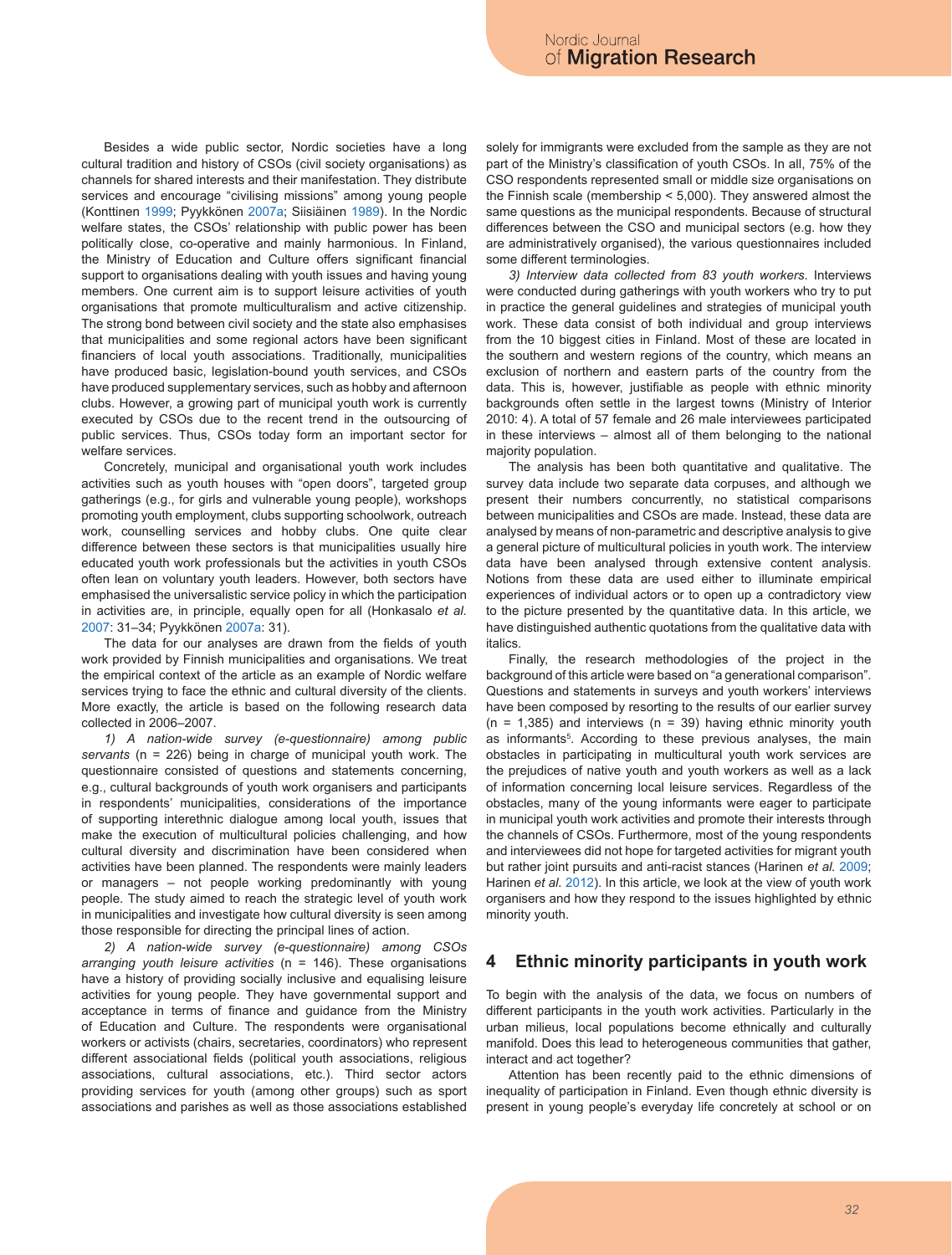Besides a wide public sector, Nordic societies have a long cultural tradition and history of CSOs (civil society organisations) as channels for shared interests and their manifestation. They distribute services and encourage "civilising missions" among young people (Konttinen 1999; Pyykkönen 2007a; Siisiäinen 1989). In the Nordic welfare states, the CSOs' relationship with public power has been politically close, co-operative and mainly harmonious. In Finland, the Ministry of Education and Culture offers significant financial support to organisations dealing with youth issues and having young members. One current aim is to support leisure activities of youth organisations that promote multiculturalism and active citizenship. The strong bond between civil society and the state also emphasises that municipalities and some regional actors have been significant financiers of local youth associations. Traditionally, municipalities have produced basic, legislation-bound youth services, and CSOs have produced supplementary services, such as hobby and afternoon clubs. However, a growing part of municipal youth work is currently executed by CSOs due to the recent trend in the outsourcing of public services. Thus, CSOs today form an important sector for welfare services.

Concretely, municipal and organisational youth work includes activities such as youth houses with "open doors", targeted group gatherings (e.g., for girls and vulnerable young people), workshops promoting youth employment, clubs supporting schoolwork, outreach work, counselling services and hobby clubs. One quite clear difference between these sectors is that municipalities usually hire educated youth work professionals but the activities in youth CSOs often lean on voluntary youth leaders. However, both sectors have emphasised the universalistic service policy in which the participation in activities are, in principle, equally open for all (Honkasalo *et al.* 2007: 31–34; Pyykkönen 2007a: 31).

The data for our analyses are drawn from the fields of youth work provided by Finnish municipalities and organisations. We treat the empirical context of the article as an example of Nordic welfare services trying to face the ethnic and cultural diversity of the clients. More exactly, the article is based on the following research data collected in 2006–2007.

*1) A nation-wide survey (e-questionnaire) among public servants* (n = 226) being in charge of municipal youth work. The questionnaire consisted of questions and statements concerning, e.g., cultural backgrounds of youth work organisers and participants in respondents' municipalities, considerations of the importance of supporting interethnic dialogue among local youth, issues that make the execution of multicultural policies challenging, and how cultural diversity and discrimination have been considered when activities have been planned. The respondents were mainly leaders or managers – not people working predominantly with young people. The study aimed to reach the strategic level of youth work in municipalities and investigate how cultural diversity is seen among those responsible for directing the principal lines of action.

*2) A nation-wide survey (e-questionnaire) among CSOs arranging youth leisure activities* (n = 146). These organisations have a history of providing socially inclusive and equalising leisure activities for young people. They have governmental support and acceptance in terms of finance and guidance from the Ministry of Education and Culture. The respondents were organisational workers or activists (chairs, secretaries, coordinators) who represent different associational fields (political youth associations, religious associations, cultural associations, etc.). Third sector actors providing services for youth (among other groups) such as sport associations and parishes as well as those associations established

solely for immigrants were excluded from the sample as they are not part of the Ministry's classification of youth CSOs. In all, 75% of the CSO respondents represented small or middle size organisations on the Finnish scale (membership < 5,000). They answered almost the same questions as the municipal respondents. Because of structural differences between the CSO and municipal sectors (e.g. how they are administratively organised), the various questionnaires included some different terminologies.

*3) Interview data collected from 83 youth workers*. Interviews were conducted during gatherings with youth workers who try to put in practice the general guidelines and strategies of municipal youth work. These data consist of both individual and group interviews from the 10 biggest cities in Finland. Most of these are located in the southern and western regions of the country, which means an exclusion of northern and eastern parts of the country from the data. This is, however, justifiable as people with ethnic minority backgrounds often settle in the largest towns (Ministry of Interior 2010: 4). A total of 57 female and 26 male interviewees participated in these interviews – almost all of them belonging to the national majority population.

The analysis has been both quantitative and qualitative. The survey data include two separate data corpuses, and although we present their numbers concurrently, no statistical comparisons between municipalities and CSOs are made. Instead, these data are analysed by means of non-parametric and descriptive analysis to give a general picture of multicultural policies in youth work. The interview data have been analysed through extensive content analysis. Notions from these data are used either to illuminate empirical experiences of individual actors or to open up a contradictory view to the picture presented by the quantitative data. In this article, we have distinguished authentic quotations from the qualitative data with italics.

Finally, the research methodologies of the project in the background of this article were based on "a generational comparison". Questions and statements in surveys and youth workers' interviews have been composed by resorting to the results of our earlier survey  $(n = 1,385)$  and interviews  $(n = 39)$  having ethnic minority youth as informants<sup>5</sup>. According to these previous analyses, the main obstacles in participating in multicultural youth work services are the prejudices of native youth and youth workers as well as a lack of information concerning local leisure services. Regardless of the obstacles, many of the young informants were eager to participate in municipal youth work activities and promote their interests through the channels of CSOs. Furthermore, most of the young respondents and interviewees did not hope for targeted activities for migrant youth but rather joint pursuits and anti-racist stances (Harinen *et al.* 2009; Harinen *et al.* 2012). In this article, we look at the view of youth work organisers and how they respond to the issues highlighted by ethnic minority youth.

### **4 Ethnic minority participants in youth work**

To begin with the analysis of the data, we focus on numbers of different participants in the youth work activities. Particularly in the urban milieus, local populations become ethnically and culturally manifold. Does this lead to heterogeneous communities that gather, interact and act together?

Attention has been recently paid to the ethnic dimensions of inequality of participation in Finland. Even though ethnic diversity is present in young people's everyday life concretely at school or on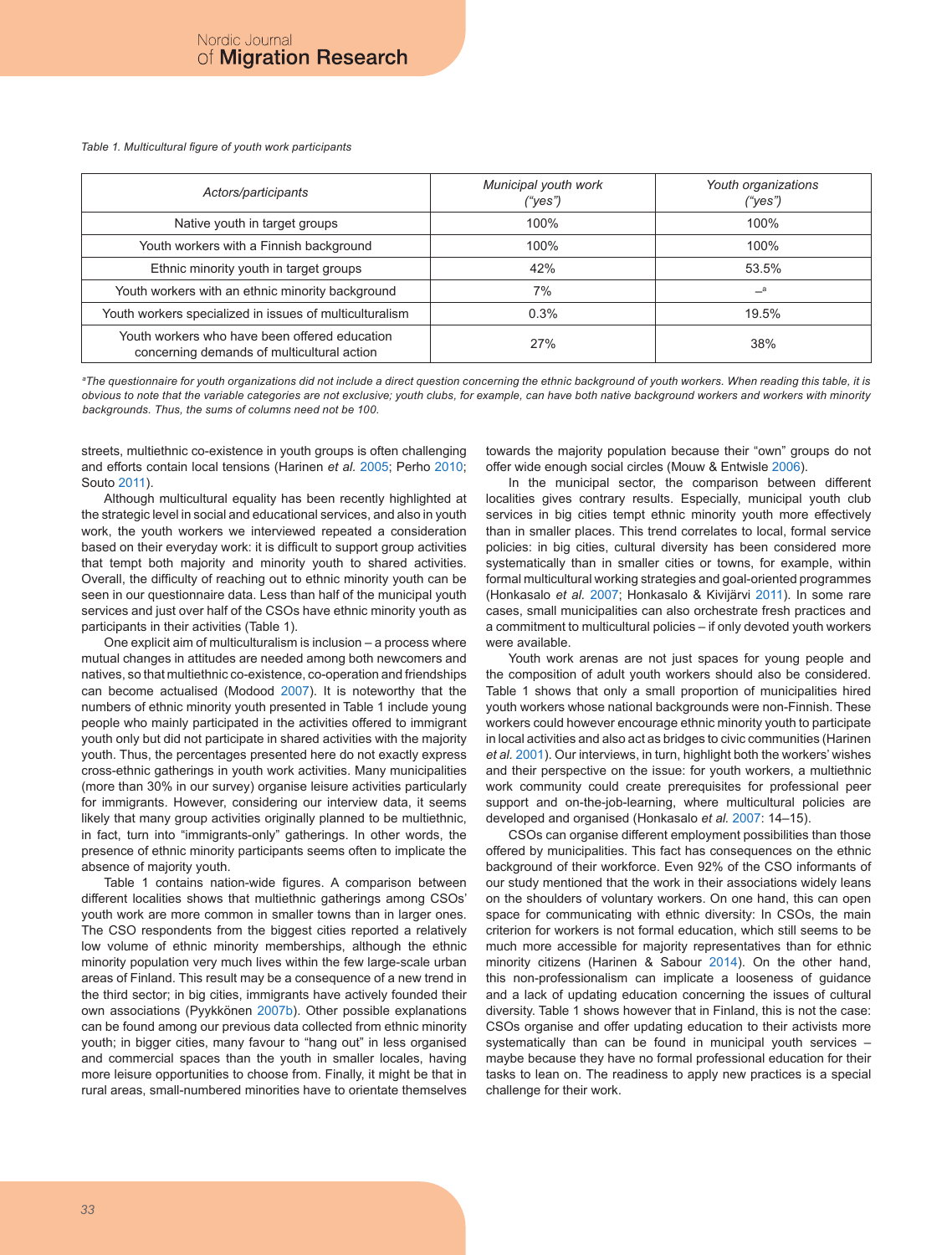*Table 1. Multicultural figure of youth work participants*

| Actors/participants                                                                         | Municipal youth work<br>("yes") | Youth organizations<br>("yes") |
|---------------------------------------------------------------------------------------------|---------------------------------|--------------------------------|
| Native youth in target groups                                                               | 100%                            | 100%                           |
| Youth workers with a Finnish background                                                     | 100%                            | 100%                           |
| Ethnic minority youth in target groups                                                      | 42%                             | 53.5%                          |
| Youth workers with an ethnic minority background                                            | 7%                              | $\equiv$ a                     |
| Youth workers specialized in issues of multiculturalism                                     | 0.3%                            | 19.5%                          |
| Youth workers who have been offered education<br>concerning demands of multicultural action | 27%                             | 38%                            |

*a The questionnaire for youth organizations did not include a direct question concerning the ethnic background of youth workers. When reading this table, it is obvious to note that the variable categories are not exclusive; youth clubs, for example, can have both native background workers and workers with minority backgrounds. Thus, the sums of columns need not be 100.*

streets, multiethnic co-existence in youth groups is often challenging and efforts contain local tensions (Harinen *et al.* 2005; Perho 2010; Souto 2011).

Although multicultural equality has been recently highlighted at the strategic level in social and educational services, and also in youth work, the youth workers we interviewed repeated a consideration based on their everyday work: it is difficult to support group activities that tempt both majority and minority youth to shared activities. Overall, the difficulty of reaching out to ethnic minority youth can be seen in our questionnaire data. Less than half of the municipal youth services and just over half of the CSOs have ethnic minority youth as participants in their activities (Table 1).

One explicit aim of multiculturalism is inclusion – a process where mutual changes in attitudes are needed among both newcomers and natives, so that multiethnic co-existence, co-operation and friendships can become actualised (Modood 2007). It is noteworthy that the numbers of ethnic minority youth presented in Table 1 include young people who mainly participated in the activities offered to immigrant youth only but did not participate in shared activities with the majority youth. Thus, the percentages presented here do not exactly express cross-ethnic gatherings in youth work activities. Many municipalities (more than 30% in our survey) organise leisure activities particularly for immigrants. However, considering our interview data, it seems likely that many group activities originally planned to be multiethnic, in fact, turn into "immigrants-only" gatherings. In other words, the presence of ethnic minority participants seems often to implicate the absence of majority youth.

Table 1 contains nation-wide figures. A comparison between different localities shows that multiethnic gatherings among CSOs' youth work are more common in smaller towns than in larger ones. The CSO respondents from the biggest cities reported a relatively low volume of ethnic minority memberships, although the ethnic minority population very much lives within the few large-scale urban areas of Finland. This result may be a consequence of a new trend in the third sector; in big cities, immigrants have actively founded their own associations (Pyykkönen 2007b). Other possible explanations can be found among our previous data collected from ethnic minority youth; in bigger cities, many favour to "hang out" in less organised and commercial spaces than the youth in smaller locales, having more leisure opportunities to choose from. Finally, it might be that in rural areas, small-numbered minorities have to orientate themselves towards the majority population because their "own" groups do not offer wide enough social circles (Mouw & Entwisle 2006).

In the municipal sector, the comparison between different localities gives contrary results. Especially, municipal youth club services in big cities tempt ethnic minority youth more effectively than in smaller places. This trend correlates to local, formal service policies: in big cities, cultural diversity has been considered more systematically than in smaller cities or towns, for example, within formal multicultural working strategies and goal-oriented programmes (Honkasalo *et al.* 2007; Honkasalo & Kivijärvi 2011). In some rare cases, small municipalities can also orchestrate fresh practices and a commitment to multicultural policies – if only devoted youth workers were available.

Youth work arenas are not just spaces for young people and the composition of adult youth workers should also be considered. Table 1 shows that only a small proportion of municipalities hired youth workers whose national backgrounds were non-Finnish. These workers could however encourage ethnic minority youth to participate in local activities and also act as bridges to civic communities (Harinen *et al.* 2001). Our interviews, in turn, highlight both the workers' wishes and their perspective on the issue: for youth workers, a multiethnic work community could create prerequisites for professional peer support and on-the-job-learning, where multicultural policies are developed and organised (Honkasalo *et al.* 2007: 14–15).

CSOs can organise different employment possibilities than those offered by municipalities. This fact has consequences on the ethnic background of their workforce. Even 92% of the CSO informants of our study mentioned that the work in their associations widely leans on the shoulders of voluntary workers. On one hand, this can open space for communicating with ethnic diversity: In CSOs, the main criterion for workers is not formal education, which still seems to be much more accessible for majority representatives than for ethnic minority citizens (Harinen & Sabour 2014). On the other hand, this non-professionalism can implicate a looseness of guidance and a lack of updating education concerning the issues of cultural diversity. Table 1 shows however that in Finland, this is not the case: CSOs organise and offer updating education to their activists more systematically than can be found in municipal youth services – maybe because they have no formal professional education for their tasks to lean on. The readiness to apply new practices is a special challenge for their work.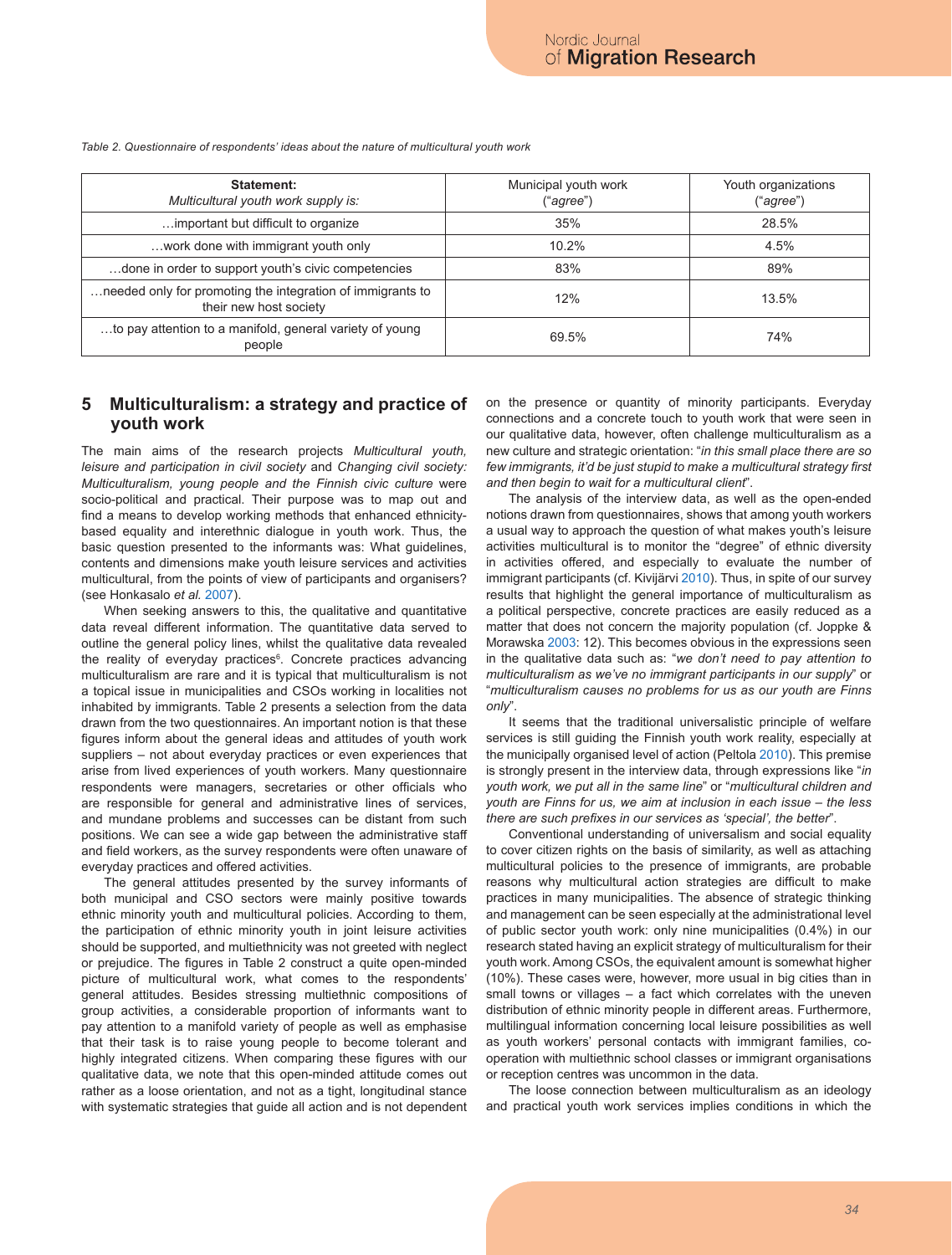**Statement:** *Multicultural youth work supply is:* Municipal youth work ("*agree*") Youth organizations ("*agree*") …important but difficult to organize 35% 28.5% …work done with immigrant youth only 10.2% 4.5% …done in order to support youth's civic competencies and the state of the state 89% and state and state 89% and the state and state and state and state and state and state and state and state and state and state and state …needed only for promoting the integration of immigrants to their new host society 13.5%<br>their new host society …to pay attention to a manifold, general variety of young  $\begin{array}{|c|c|c|c|c|}\n \hline\n \text{p}} & \text{p}} & \text{p}} & \text{p}} & \text{p}} & \text{p}} & \text{p}} & \text{p}} & \text{p}} & \text{p}} & \text{p}} & \text{p}} & \text{p}} & \text{p}} & \text{p}} & \text{p}} & \text{p}} & \text{p}} & \text{p}} & \text{p}} & \text{p}} & \text{p}} & \text{p}} & \text{p}} & \text{p}} & \text{p}} & \text{p}} & \text{p}} & \text{p}} & \text{p}} & \text{p}} & \text{p}} & \text{p}} &$ 

*Table 2. Questionnaire of respondents' ideas about the nature of multicultural youth work*

### **5 Multiculturalism: a strategy and practice of youth work**

The main aims of the research projects *Multicultural youth, leisure and participation in civil society* and *Changing civil society: Multiculturalism, young people and the Finnish civic culture* were socio-political and practical. Their purpose was to map out and find a means to develop working methods that enhanced ethnicitybased equality and interethnic dialogue in youth work. Thus, the basic question presented to the informants was: What guidelines, contents and dimensions make youth leisure services and activities multicultural, from the points of view of participants and organisers? (see Honkasalo *et al.* 2007).

When seeking answers to this, the qualitative and quantitative data reveal different information. The quantitative data served to outline the general policy lines, whilst the qualitative data revealed the reality of everyday practices<sup>6</sup>. Concrete practices advancing multiculturalism are rare and it is typical that multiculturalism is not a topical issue in municipalities and CSOs working in localities not inhabited by immigrants. Table 2 presents a selection from the data drawn from the two questionnaires. An important notion is that these figures inform about the general ideas and attitudes of youth work suppliers – not about everyday practices or even experiences that arise from lived experiences of youth workers. Many questionnaire respondents were managers, secretaries or other officials who are responsible for general and administrative lines of services, and mundane problems and successes can be distant from such positions. We can see a wide gap between the administrative staff and field workers, as the survey respondents were often unaware of everyday practices and offered activities.

The general attitudes presented by the survey informants of both municipal and CSO sectors were mainly positive towards ethnic minority youth and multicultural policies. According to them, the participation of ethnic minority youth in joint leisure activities should be supported, and multiethnicity was not greeted with neglect or prejudice. The figures in Table 2 construct a quite open-minded picture of multicultural work, what comes to the respondents' general attitudes. Besides stressing multiethnic compositions of group activities, a considerable proportion of informants want to pay attention to a manifold variety of people as well as emphasise that their task is to raise young people to become tolerant and highly integrated citizens. When comparing these figures with our qualitative data, we note that this open-minded attitude comes out rather as a loose orientation, and not as a tight, longitudinal stance with systematic strategies that guide all action and is not dependent on the presence or quantity of minority participants. Everyday connections and a concrete touch to youth work that were seen in our qualitative data, however, often challenge multiculturalism as a new culture and strategic orientation: "*in this small place there are so few immigrants, it'd be just stupid to make a multicultural strategy first and then begin to wait for a multicultural client*".

The analysis of the interview data, as well as the open-ended notions drawn from questionnaires, shows that among youth workers a usual way to approach the question of what makes youth's leisure activities multicultural is to monitor the "degree" of ethnic diversity in activities offered, and especially to evaluate the number of immigrant participants (cf. Kivijärvi 2010). Thus, in spite of our survey results that highlight the general importance of multiculturalism as a political perspective, concrete practices are easily reduced as a matter that does not concern the majority population (cf. Joppke & Morawska 2003: 12). This becomes obvious in the expressions seen in the qualitative data such as: "*we don't need to pay attention to multiculturalism as we've no immigrant participants in our supply*" or "*multiculturalism causes no problems for us as our youth are Finns only*".

It seems that the traditional universalistic principle of welfare services is still guiding the Finnish youth work reality, especially at the municipally organised level of action (Peltola 2010). This premise is strongly present in the interview data, through expressions like "*in youth work, we put all in the same line*" or "*multicultural children and youth are Finns for us, we aim at inclusion in each issue – the less there are such prefixes in our services as 'special', the better*".

Conventional understanding of universalism and social equality to cover citizen rights on the basis of similarity, as well as attaching multicultural policies to the presence of immigrants, are probable reasons why multicultural action strategies are difficult to make practices in many municipalities. The absence of strategic thinking and management can be seen especially at the administrational level of public sector youth work: only nine municipalities (0.4%) in our research stated having an explicit strategy of multiculturalism for their youth work. Among CSOs, the equivalent amount is somewhat higher (10%). These cases were, however, more usual in big cities than in small towns or villages – a fact which correlates with the uneven distribution of ethnic minority people in different areas. Furthermore, multilingual information concerning local leisure possibilities as well as youth workers' personal contacts with immigrant families, cooperation with multiethnic school classes or immigrant organisations or reception centres was uncommon in the data.

The loose connection between multiculturalism as an ideology and practical youth work services implies conditions in which the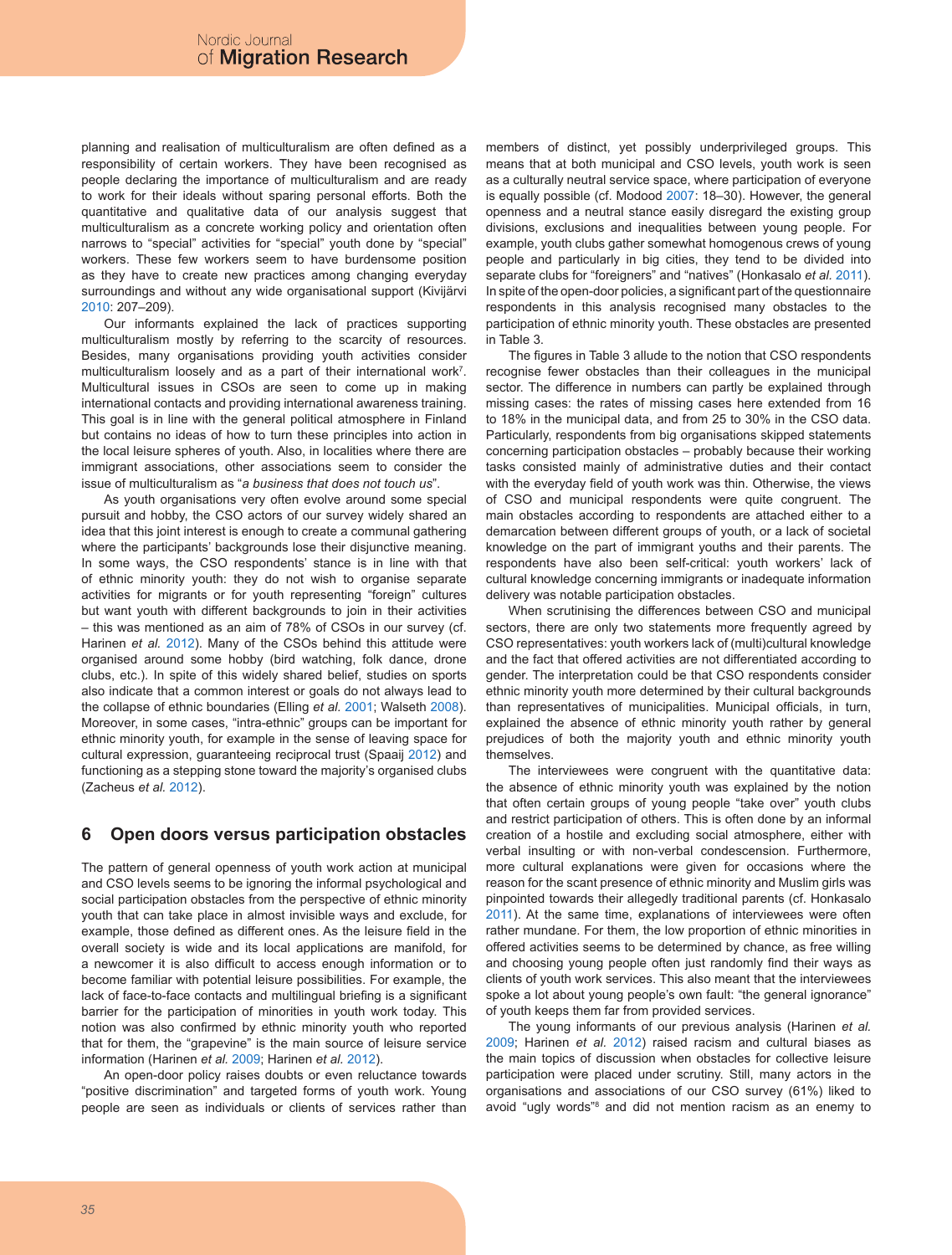planning and realisation of multiculturalism are often defined as a responsibility of certain workers. They have been recognised as people declaring the importance of multiculturalism and are ready to work for their ideals without sparing personal efforts. Both the quantitative and qualitative data of our analysis suggest that multiculturalism as a concrete working policy and orientation often narrows to "special" activities for "special" youth done by "special" workers. These few workers seem to have burdensome position as they have to create new practices among changing everyday surroundings and without any wide organisational support (Kivijärvi 2010: 207–209).

Our informants explained the lack of practices supporting multiculturalism mostly by referring to the scarcity of resources. Besides, many organisations providing youth activities consider multiculturalism loosely and as a part of their international work<sup>7</sup>. Multicultural issues in CSOs are seen to come up in making international contacts and providing international awareness training. This goal is in line with the general political atmosphere in Finland but contains no ideas of how to turn these principles into action in the local leisure spheres of youth. Also, in localities where there are immigrant associations, other associations seem to consider the issue of multiculturalism as "*a business that does not touch us*".

As youth organisations very often evolve around some special pursuit and hobby, the CSO actors of our survey widely shared an idea that this joint interest is enough to create a communal gathering where the participants' backgrounds lose their disjunctive meaning. In some ways, the CSO respondents' stance is in line with that of ethnic minority youth: they do not wish to organise separate activities for migrants or for youth representing "foreign" cultures but want youth with different backgrounds to join in their activities – this was mentioned as an aim of 78% of CSOs in our survey (cf. Harinen *et al.* 2012). Many of the CSOs behind this attitude were organised around some hobby (bird watching, folk dance, drone clubs, etc.). In spite of this widely shared belief, studies on sports also indicate that a common interest or goals do not always lead to the collapse of ethnic boundaries (Elling *et al.* 2001; Walseth 2008). Moreover, in some cases, "intra-ethnic" groups can be important for ethnic minority youth, for example in the sense of leaving space for cultural expression, guaranteeing reciprocal trust (Spaaij 2012) and functioning as a stepping stone toward the majority's organised clubs (Zacheus *et al.* 2012).

# **6 Open doors versus participation obstacles**

The pattern of general openness of youth work action at municipal and CSO levels seems to be ignoring the informal psychological and social participation obstacles from the perspective of ethnic minority youth that can take place in almost invisible ways and exclude, for example, those defined as different ones. As the leisure field in the overall society is wide and its local applications are manifold, for a newcomer it is also difficult to access enough information or to become familiar with potential leisure possibilities. For example, the lack of face-to-face contacts and multilingual briefing is a significant barrier for the participation of minorities in youth work today. This notion was also confirmed by ethnic minority youth who reported that for them, the "grapevine" is the main source of leisure service information (Harinen *et al.* 2009; Harinen *et al.* 2012).

An open-door policy raises doubts or even reluctance towards "positive discrimination" and targeted forms of youth work. Young people are seen as individuals or clients of services rather than members of distinct, yet possibly underprivileged groups. This means that at both municipal and CSO levels, youth work is seen as a culturally neutral service space, where participation of everyone is equally possible (cf. Modood 2007: 18–30). However, the general openness and a neutral stance easily disregard the existing group divisions, exclusions and inequalities between young people. For example, youth clubs gather somewhat homogenous crews of young people and particularly in big cities, they tend to be divided into separate clubs for "foreigners" and "natives" (Honkasalo *et al.* 2011). In spite of the open-door policies, a significant part of the questionnaire respondents in this analysis recognised many obstacles to the participation of ethnic minority youth. These obstacles are presented in Table 3.

The figures in Table 3 allude to the notion that CSO respondents recognise fewer obstacles than their colleagues in the municipal sector. The difference in numbers can partly be explained through missing cases: the rates of missing cases here extended from 16 to 18% in the municipal data, and from 25 to 30% in the CSO data. Particularly, respondents from big organisations skipped statements concerning participation obstacles – probably because their working tasks consisted mainly of administrative duties and their contact with the everyday field of youth work was thin. Otherwise, the views of CSO and municipal respondents were quite congruent. The main obstacles according to respondents are attached either to a demarcation between different groups of youth, or a lack of societal knowledge on the part of immigrant youths and their parents. The respondents have also been self-critical: youth workers' lack of cultural knowledge concerning immigrants or inadequate information delivery was notable participation obstacles.

When scrutinising the differences between CSO and municipal sectors, there are only two statements more frequently agreed by CSO representatives: youth workers lack of (multi)cultural knowledge and the fact that offered activities are not differentiated according to gender. The interpretation could be that CSO respondents consider ethnic minority youth more determined by their cultural backgrounds than representatives of municipalities. Municipal officials, in turn, explained the absence of ethnic minority youth rather by general prejudices of both the majority youth and ethnic minority youth themselves.

The interviewees were congruent with the quantitative data: the absence of ethnic minority youth was explained by the notion that often certain groups of young people "take over" youth clubs and restrict participation of others. This is often done by an informal creation of a hostile and excluding social atmosphere, either with verbal insulting or with non-verbal condescension. Furthermore, more cultural explanations were given for occasions where the reason for the scant presence of ethnic minority and Muslim girls was pinpointed towards their allegedly traditional parents (cf. Honkasalo 2011). At the same time, explanations of interviewees were often rather mundane. For them, the low proportion of ethnic minorities in offered activities seems to be determined by chance, as free willing and choosing young people often just randomly find their ways as clients of youth work services. This also meant that the interviewees spoke a lot about young people's own fault: "the general ignorance" of youth keeps them far from provided services.

The young informants of our previous analysis (Harinen *et al.* 2009; Harinen *et al.* 2012) raised racism and cultural biases as the main topics of discussion when obstacles for collective leisure participation were placed under scrutiny. Still, many actors in the organisations and associations of our CSO survey (61%) liked to avoid "ugly words"<sup>8</sup> and did not mention racism as an enemy to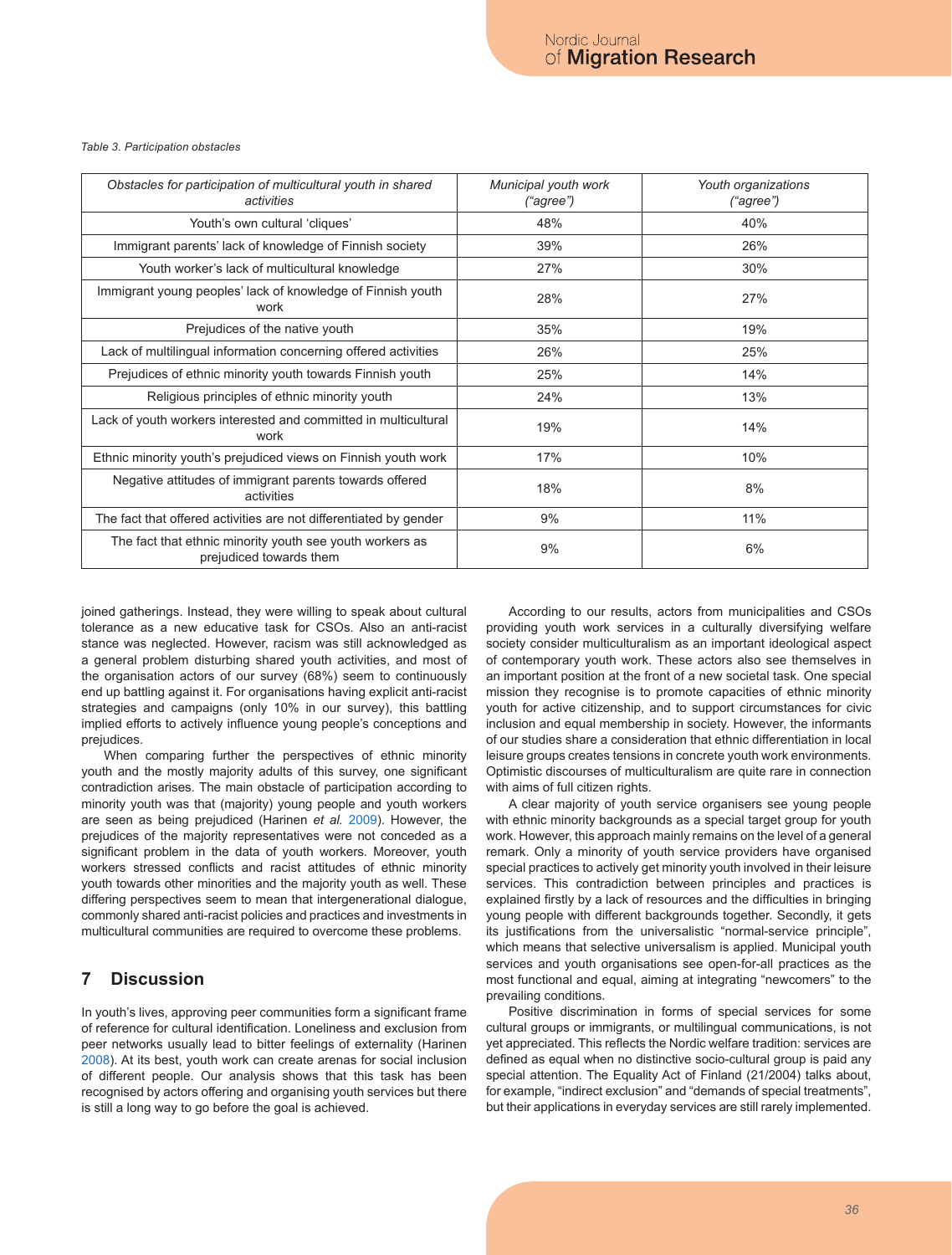#### *Table 3. Participation obstacles*

| Obstacles for participation of multicultural youth in shared<br>activities          | Municipal youth work<br>("agree") | Youth organizations<br>("agree") |
|-------------------------------------------------------------------------------------|-----------------------------------|----------------------------------|
| Youth's own cultural 'cliques'                                                      | 48%                               | 40%                              |
| Immigrant parents' lack of knowledge of Finnish society                             | 39%                               | 26%                              |
| Youth worker's lack of multicultural knowledge                                      | 27%                               | 30%                              |
| Immigrant young peoples' lack of knowledge of Finnish youth<br>work                 | 28%                               | 27%                              |
| Prejudices of the native youth                                                      | 35%                               | 19%                              |
| Lack of multilingual information concerning offered activities                      | 26%                               | 25%                              |
| Prejudices of ethnic minority youth towards Finnish youth                           | 25%                               | 14%                              |
| Religious principles of ethnic minority youth                                       | 24%                               | 13%                              |
| Lack of youth workers interested and committed in multicultural<br>work             | 19%                               | 14%                              |
| Ethnic minority youth's prejudiced views on Finnish youth work                      | 17%                               | 10%                              |
| Negative attitudes of immigrant parents towards offered<br>activities               | 18%                               | 8%                               |
| The fact that offered activities are not differentiated by gender                   | 9%                                | 11%                              |
| The fact that ethnic minority youth see youth workers as<br>prejudiced towards them | 9%                                | 6%                               |

joined gatherings. Instead, they were willing to speak about cultural tolerance as a new educative task for CSOs. Also an anti-racist stance was neglected. However, racism was still acknowledged as a general problem disturbing shared youth activities, and most of the organisation actors of our survey (68%) seem to continuously end up battling against it. For organisations having explicit anti-racist strategies and campaigns (only 10% in our survey), this battling implied efforts to actively influence young people's conceptions and prejudices.

When comparing further the perspectives of ethnic minority youth and the mostly majority adults of this survey, one significant contradiction arises. The main obstacle of participation according to minority youth was that (majority) young people and youth workers are seen as being prejudiced (Harinen *et al.* 2009). However, the prejudices of the majority representatives were not conceded as a significant problem in the data of youth workers. Moreover, youth workers stressed conflicts and racist attitudes of ethnic minority youth towards other minorities and the majority youth as well. These differing perspectives seem to mean that intergenerational dialogue, commonly shared anti-racist policies and practices and investments in multicultural communities are required to overcome these problems.

### **7 Discussion**

In youth's lives, approving peer communities form a significant frame of reference for cultural identification. Loneliness and exclusion from peer networks usually lead to bitter feelings of externality (Harinen 2008). At its best, youth work can create arenas for social inclusion of different people. Our analysis shows that this task has been recognised by actors offering and organising youth services but there is still a long way to go before the goal is achieved.

According to our results, actors from municipalities and CSOs providing youth work services in a culturally diversifying welfare society consider multiculturalism as an important ideological aspect of contemporary youth work. These actors also see themselves in an important position at the front of a new societal task. One special mission they recognise is to promote capacities of ethnic minority youth for active citizenship, and to support circumstances for civic inclusion and equal membership in society. However, the informants of our studies share a consideration that ethnic differentiation in local leisure groups creates tensions in concrete youth work environments. Optimistic discourses of multiculturalism are quite rare in connection with aims of full citizen rights.

A clear majority of youth service organisers see young people with ethnic minority backgrounds as a special target group for youth work. However, this approach mainly remains on the level of a general remark. Only a minority of youth service providers have organised special practices to actively get minority youth involved in their leisure services. This contradiction between principles and practices is explained firstly by a lack of resources and the difficulties in bringing young people with different backgrounds together. Secondly, it gets its justifications from the universalistic "normal-service principle", which means that selective universalism is applied. Municipal youth services and youth organisations see open-for-all practices as the most functional and equal, aiming at integrating "newcomers" to the prevailing conditions.

Positive discrimination in forms of special services for some cultural groups or immigrants, or multilingual communications, is not yet appreciated. This reflects the Nordic welfare tradition: services are defined as equal when no distinctive socio-cultural group is paid any special attention. The Equality Act of Finland (21/2004) talks about, for example, "indirect exclusion" and "demands of special treatments", but their applications in everyday services are still rarely implemented.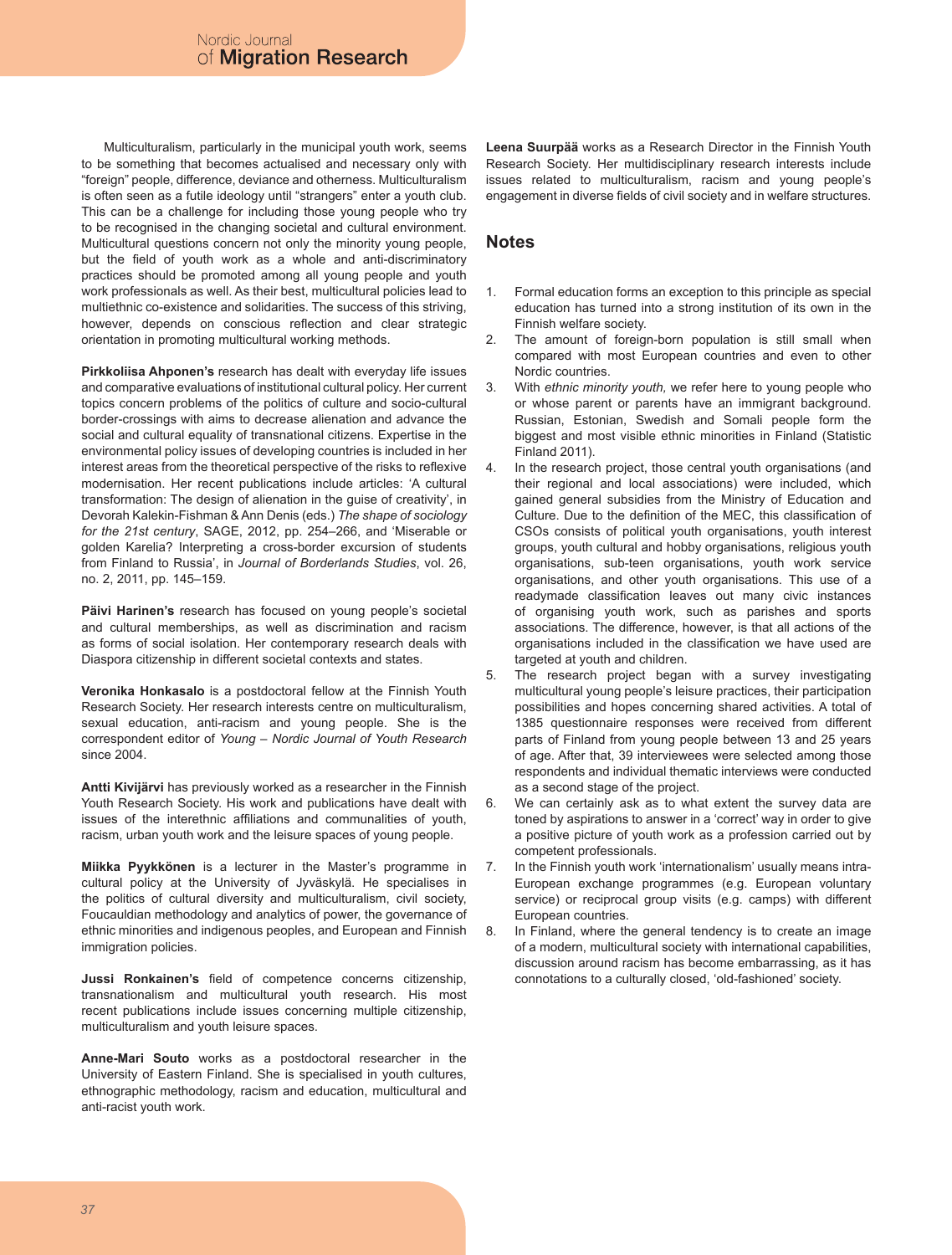Multiculturalism, particularly in the municipal youth work, seems to be something that becomes actualised and necessary only with "foreign" people, difference, deviance and otherness. Multiculturalism is often seen as a futile ideology until "strangers" enter a youth club. This can be a challenge for including those young people who try to be recognised in the changing societal and cultural environment. Multicultural questions concern not only the minority young people, but the field of youth work as a whole and anti-discriminatory practices should be promoted among all young people and youth work professionals as well. As their best, multicultural policies lead to multiethnic co-existence and solidarities. The success of this striving, however, depends on conscious reflection and clear strategic orientation in promoting multicultural working methods.

**Pirkkoliisa Ahponen's** research has dealt with everyday life issues and comparative evaluations of institutional cultural policy. Her current topics concern problems of the politics of culture and socio-cultural border-crossings with aims to decrease alienation and advance the social and cultural equality of transnational citizens. Expertise in the environmental policy issues of developing countries is included in her interest areas from the theoretical perspective of the risks to reflexive modernisation. Her recent publications include articles: 'A cultural transformation: The design of alienation in the guise of creativity', in Devorah Kalekin-Fishman & Ann Denis (eds.) *The shape of sociology for the 21st century*, SAGE, 2012, pp. 254–266, and 'Miserable or golden Karelia? Interpreting a cross-border excursion of students from Finland to Russia', in *Journal of Borderlands Studies*, vol. 26, no. 2, 2011, pp. 145–159.

**Päivi Harinen's** research has focused on young people's societal and cultural memberships, as well as discrimination and racism as forms of social isolation. Her contemporary research deals with Diaspora citizenship in different societal contexts and states.

**Veronika Honkasalo** is a postdoctoral fellow at the Finnish Youth Research Society. Her research interests centre on multiculturalism, sexual education, anti-racism and young people. She is the correspondent editor of *Young – Nordic Journal of Youth Research* since 2004.

**Antti Kivijärvi** has previously worked as a researcher in the Finnish Youth Research Society. His work and publications have dealt with issues of the interethnic affiliations and communalities of youth, racism, urban youth work and the leisure spaces of young people.

**Miikka Pyykkönen** is a lecturer in the Master's programme in cultural policy at the University of Jyväskylä. He specialises in the politics of cultural diversity and multiculturalism, civil society, Foucauldian methodology and analytics of power, the governance of ethnic minorities and indigenous peoples, and European and Finnish immigration policies.

**Jussi Ronkainen's** field of competence concerns citizenship, transnationalism and multicultural youth research. His most recent publications include issues concerning multiple citizenship, multiculturalism and youth leisure spaces.

**Anne-Mari Souto** works as a postdoctoral researcher in the University of Eastern Finland. She is specialised in youth cultures, ethnographic methodology, racism and education, multicultural and anti-racist youth work.

**Leena Suurpää** works as a Research Director in the Finnish Youth Research Society. Her multidisciplinary research interests include issues related to multiculturalism, racism and young people's engagement in diverse fields of civil society and in welfare structures.

# **Notes**

- Formal education forms an exception to this principle as special education has turned into a strong institution of its own in the Finnish welfare society. 1.
- The amount of foreign-born population is still small when compared with most European countries and even to other Nordic countries. 2.
- With *ethnic minority youth,* we refer here to young people who or whose parent or parents have an immigrant background. Russian, Estonian, Swedish and Somali people form the biggest and most visible ethnic minorities in Finland (Statistic Finland 2011). 3.
- In the research project, those central youth organisations (and their regional and local associations) were included, which gained general subsidies from the Ministry of Education and Culture. Due to the definition of the MEC, this classification of CSOs consists of political youth organisations, youth interest groups, youth cultural and hobby organisations, religious youth organisations, sub-teen organisations, youth work service organisations, and other youth organisations. This use of a readymade classification leaves out many civic instances of organising youth work, such as parishes and sports associations. The difference, however, is that all actions of the organisations included in the classification we have used are targeted at youth and children. 4.
- The research project began with a survey investigating multicultural young people's leisure practices, their participation possibilities and hopes concerning shared activities. A total of 1385 questionnaire responses were received from different parts of Finland from young people between 13 and 25 years of age. After that, 39 interviewees were selected among those respondents and individual thematic interviews were conducted as a second stage of the project. 5.
- We can certainly ask as to what extent the survey data are toned by aspirations to answer in a 'correct' way in order to give a positive picture of youth work as a profession carried out by competent professionals. 6.
- In the Finnish youth work 'internationalism' usually means intra-European exchange programmes (e.g. European voluntary service) or reciprocal group visits (e.g. camps) with different European countries. 7.
- In Finland, where the general tendency is to create an image of a modern, multicultural society with international capabilities, discussion around racism has become embarrassing, as it has connotations to a culturally closed, 'old-fashioned' society. 8.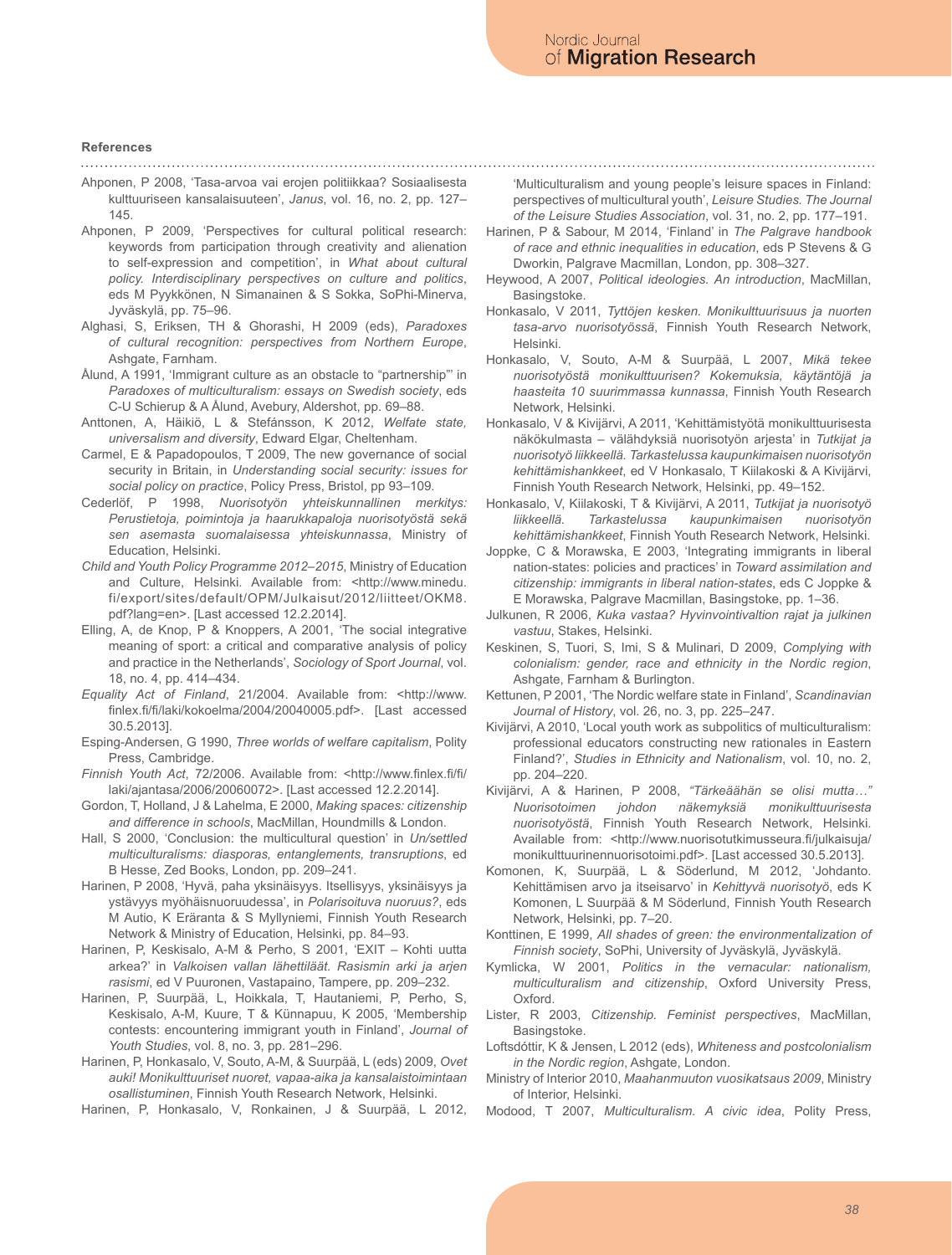### **References**

Ahponen, P 2008, 'Tasa-arvoa vai erojen politiikkaa? Sosiaalisesta kulttuuriseen kansalaisuuteen', *Janus*, vol. 16, no. 2, pp. 127– 145.

Ahponen, P 2009, 'Perspectives for cultural political research: keywords from participation through creativity and alienation to self-expression and competition', in *What about cultural policy. Interdisciplinary perspectives on culture and politics*, eds M Pyykkönen, N Simanainen & S Sokka, SoPhi-Minerva, Jyväskylä, pp. 75–96.

- Alghasi, S, Eriksen, TH & Ghorashi, H 2009 (eds), *Paradoxes of cultural recognition: perspectives from Northern Europe*, Ashgate, Farnham.
- Ålund, A 1991, 'Immigrant culture as an obstacle to "partnership" in *Paradoxes of multiculturalism: essays on Swedish society*, eds C-U Schierup & A Ålund, Avebury, Aldershot, pp. 69–88.
- Anttonen, A, Häikiö, L & Stefánsson, K 2012, *Welfate state, universalism and diversity*, Edward Elgar, Cheltenham.
- Carmel, E & Papadopoulos, T 2009, The new governance of social security in Britain, in *Understanding social security: issues for social policy on practice*, Policy Press, Bristol, pp 93–109.
- Cederlöf, P 1998, *Nuorisotyön yhteiskunnallinen merkitys: Perustietoja, poimintoja ja haarukkapaloja nuorisotyöstä sekä sen asemasta suomalaisessa yhteiskunnassa*, Ministry of Education, Helsinki.
- *Child and Youth Policy Programme 2012–2015*, Ministry of Education and Culture, Helsinki. Available from: <http://www.minedu. fi/export/sites/default/OPM/Julkaisut/2012/liitteet/OKM8. pdf?lang=en>. [Last accessed 12.2.2014].
- Elling, A, de Knop, P & Knoppers, A 2001, 'The social integrative meaning of sport: a critical and comparative analysis of policy and practice in the Netherlands', *Sociology of Sport Journal*, vol. 18, no. 4, pp. 414–434.
- *Equality Act of Finland*, 21/2004. Available from: <http://www. finlex.fi/fi/laki/kokoelma/2004/20040005.pdf>. [Last accessed 30.5.2013].
- Esping-Andersen, G 1990, *Three worlds of welfare capitalism*, Polity Press, Cambridge.
- *Finnish Youth Act*, 72/2006. Available from: <http://www.finlex.fi/fi/ laki/ajantasa/2006/20060072>. [Last accessed 12.2.2014].
- Gordon, T, Holland, J & Lahelma, E 2000, *Making spaces: citizenship and difference in schools*, MacMillan, Houndmills & London.
- Hall, S 2000, 'Conclusion: the multicultural question' in *Un/settled multiculturalisms: diasporas, entanglements, transruptions*, ed B Hesse, Zed Books, London, pp. 209–241.
- Harinen, P 2008, 'Hyvä, paha yksinäisyys. Itsellisyys, yksinäisyys ja ystävyys myöhäisnuoruudessa', in *Polarisoituva nuoruus?*, eds M Autio, K Eräranta & S Myllyniemi, Finnish Youth Research Network & Ministry of Education, Helsinki, pp. 84–93.
- Harinen, P, Keskisalo, A-M & Perho, S 2001, 'EXIT Kohti uutta arkea?' in *Valkoisen vallan lähettiläät. Rasismin arki ja arjen rasismi*, ed V Puuronen, Vastapaino, Tampere, pp. 209–232.
- Harinen, P, Suurpää, L, Hoikkala, T, Hautaniemi, P, Perho, S, Keskisalo, A-M, Kuure, T & Künnapuu, K 2005, 'Membership contests: encountering immigrant youth in Finland', *Journal of Youth Studies*, vol. 8, no. 3, pp. 281–296.
- Harinen, P, Honkasalo, V, Souto, A-M, & Suurpää, L (eds) 2009, *Ovet auki! Monikulttuuriset nuoret, vapaa-aika ja kansalaistoimintaan osallistuminen*, Finnish Youth Research Network, Helsinki.
- Harinen, P, Honkasalo, V, Ronkainen, J & Suurpää, L 2012,

'Multiculturalism and young people's leisure spaces in Finland: perspectives of multicultural youth', *Leisure Studies. The Journal of the Leisure Studies Association*, vol. 31, no. 2, pp. 177–191.

- Harinen, P & Sabour, M 2014, 'Finland' in *The Palgrave handbook of race and ethnic inequalities in education*, eds P Stevens & G Dworkin, Palgrave Macmillan, London, pp. 308–327.
- Heywood, A 2007, *Political ideologies. An introduction*, MacMillan, Basingstoke.
- Honkasalo, V 2011, *Tyttöjen kesken. Monikulttuurisuus ja nuorten tasa-arvo nuorisotyössä*, Finnish Youth Research Network, Helsinki.

Honkasalo, V, Souto, A-M & Suurpää, L 2007, *Mikä tekee nuorisotyöstä monikulttuurisen? Kokemuksia, käytäntöjä ja haasteita 10 suurimmassa kunnassa*, Finnish Youth Research Network, Helsinki.

Honkasalo, V & Kivijärvi, A 2011, 'Kehittämistyötä monikulttuurisesta näkökulmasta – välähdyksiä nuorisotyön arjesta' in *Tutkijat ja nuorisotyö liikkeellä. Tarkastelussa kaupunkimaisen nuorisotyön kehittämishankkeet*, ed V Honkasalo, T Kiilakoski & A Kivijärvi, Finnish Youth Research Network, Helsinki, pp. 49–152.

Honkasalo, V, Kiilakoski, T & Kivijärvi, A 2011, *Tutkijat ja nuorisotyö liikkeellä. Tarkastelussa kaupunkimaisen nuorisotyön kehittämishankkeet*, Finnish Youth Research Network, Helsinki.

Joppke, C & Morawska, E 2003, 'Integrating immigrants in liberal nation-states: policies and practices' in *Toward assimilation and citizenship: immigrants in liberal nation-states*, eds C Joppke & E Morawska, Palgrave Macmillan, Basingstoke, pp. 1–36.

- Julkunen, R 2006, *Kuka vastaa? Hyvinvointivaltion rajat ja julkinen vastuu*, Stakes, Helsinki.
- Keskinen, S, Tuori, S, Imi, S & Mulinari, D 2009, *Complying with colonialism: gender, race and ethnicity in the Nordic region*, Ashgate, Farnham & Burlington.
- Kettunen, P 2001, 'The Nordic welfare state in Finland', *Scandinavian Journal of History*, vol. 26, no. 3, pp. 225–247.
- Kivijärvi, A 2010, 'Local youth work as subpolitics of multiculturalism: professional educators constructing new rationales in Eastern Finland?', *Studies in Ethnicity and Nationalism*, vol. 10, no. 2, pp. 204–220.
- Kivijärvi, A & Harinen, P 2008, *"Tärkeäähän se olisi mutta…" Nuorisotoimen johdon näkemyksiä monikulttuurisesta nuorisotyöstä*, Finnish Youth Research Network, Helsinki. Available from: <http://www.nuorisotutkimusseura.fi/julkaisuja/ monikulttuurinennuorisotoimi.pdf>. [Last accessed 30.5.2013].
- Komonen, K, Suurpää, L & Söderlund, M 2012, 'Johdanto. Kehittämisen arvo ja itseisarvo' in *Kehittyvä nuorisotyö*, eds K Komonen, L Suurpää & M Söderlund, Finnish Youth Research Network, Helsinki, pp. 7–20.
- Konttinen, E 1999, *All shades of green: the environmentalization of Finnish society*, SoPhi, University of Jyväskylä, Jyväskylä.
- Kymlicka, W 2001, *Politics in the vernacular: nationalism, multiculturalism and citizenship*, Oxford University Press, Oxford.
- Lister, R 2003, *Citizenship. Feminist perspectives*, MacMillan, Basingstoke.
- Loftsdóttir, K & Jensen, L 2012 (eds), *Whiteness and postcolonialism in the Nordic region*, Ashgate, London.
- Ministry of Interior 2010, *Maahanmuuton vuosikatsaus 2009*, Ministry of Interior, Helsinki.
- Modood, T 2007, *Multiculturalism. A civic idea*, Polity Press,